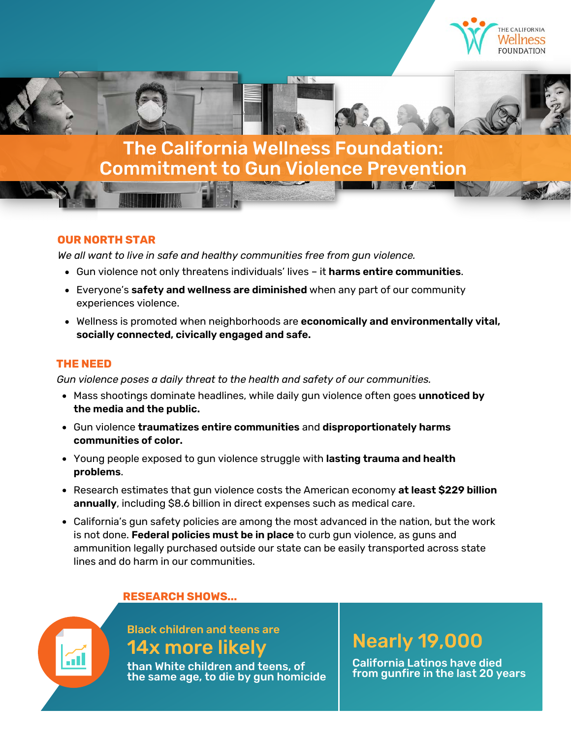

The California Wellness Foundation: Commitment to Gun Violence Prevention **IN STRATE** 

### **OUR NORTH STAR**

*We all want to live in safe and healthy communities free from gun violence.*

- Gun violence not only threatens individuals' lives it **harms entire communities**.
- Everyone's **safety and wellness are diminished** when any part of our community experiences violence.
- Wellness is promoted when neighborhoods are **economically and environmentally vital, socially connected, civically engaged and safe.**

### **THE NEED**

'n

*Gun violence poses a daily threat to the health and safety of our communities.*

- Mass shootings dominate headlines, while daily gun violence often goes **unnoticed by the media and the public.**
- Gun violence **traumatizes entire communities** and **disproportionately harms communities of color.**
- Young people exposed to gun violence struggle with **lasting trauma and health problems**.
- Research estimates that gun violence costs the American economy **at least \$229 billion annually**, including \$8.6 billion in direct expenses such as medical care.
- California's gun safety policies are among the most advanced in the nation, but the work is not done. **Federal policies must be in place** to curb gun violence, as guns and ammunition legally purchased outside our state can be easily transported across state lines and do harm in our communities.

# **RESEARCH SHOWS...**

Black children and teens are 14x more likely

than White children and teens, of the same age, to die by gun homicide

# Nearly 19,000

California Latinos have died [from gunfire in the last 20 years](https://everytownresearch.org/gun-violence-america/)